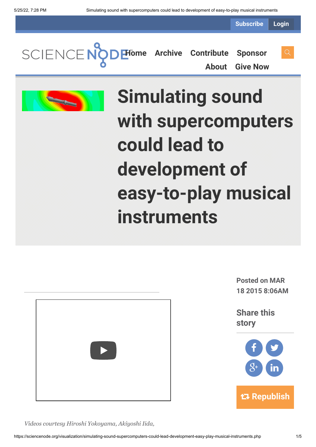**Subscribe Login**



**[About](https://sciencenode.org/about/index.php) [Give Now](https://sciencenode.org/donate/index.php)**





# **Simulating sound with supercomputers could lead to development of easy-to-play musical instruments**



**Posted on MAR 18 2015 8:06AM**

**Share this story**



*Videos courtesy Hiroshi Yokoyama, Akiyoshi Iida,*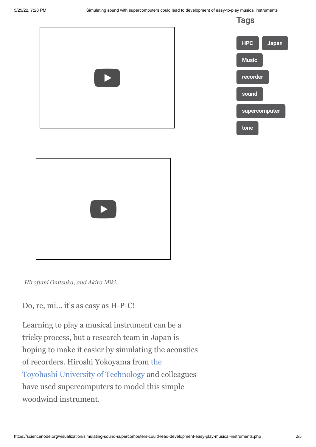**Tags**







*Hirofumi Onitsuka, and Akira Miki.*

Do, re, mi... it's as easy as H-P-C!

Learning to play a musical instrument can be a tricky process, but a research team in Japan is hoping to make it easier by simulating the acoustics [of recorders. Hiroshi Yokoyama from the](http://www.tut.ac.jp/english/) Toyohashi University of Technology and colleagues have used supercomputers to model this simple woodwind instrument.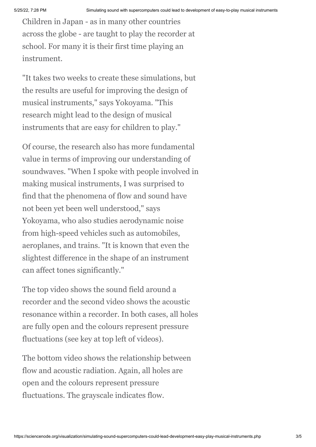Children in Japan - as in many other countries across the globe - are taught to play the recorder at school. For many it is their first time playing an instrument.

"It takes two weeks to create these simulations, but the results are useful for improving the design of musical instruments," says Yokoyama. "This research might lead to the design of musical instruments that are easy for children to play."

Of course, the research also has more fundamental value in terms of improving our understanding of soundwaves. "When I spoke with people involved in making musical instruments, I was surprised to find that the phenomena of flow and sound have not been yet been well understood," says Yokoyama, who also studies aerodynamic noise from high-speed vehicles such as automobiles, aeroplanes, and trains. "It is known that even the slightest difference in the shape of an instrument can affect tones significantly."

The top video shows the sound field around a recorder and the second video shows the acoustic resonance within a recorder. In both cases, all holes are fully open and the colours represent pressure fluctuations (see key at top left of videos).

The bottom video shows the relationship between flow and acoustic radiation. Again, all holes are open and the colours represent pressure fluctuations. The grayscale indicates flow.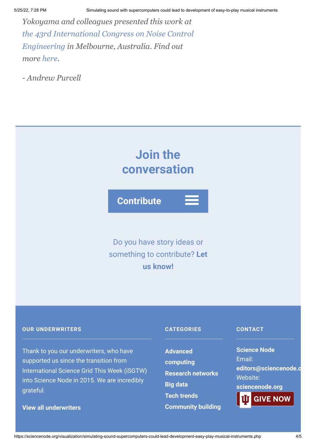*Yokoyama and colleagues presented this work at [the 43rd International Congress on Noise Control](http://www.acoustics.asn.au/divisions/VIC/internoise2014/) Engineering in Melbourne, Australia. Find out more [here](http://www.acoustics.asn.au/conference_proceedings/INTERNOISE2014/papers/p476.pdf).*

*- Andrew Purcell*



## **OUR UNDERWRITERS**

Thank to you our underwriters, who have supported us since the transition from International Science Grid This Week (iSGTW) into Science Node in 2015. We are incredibly grateful.

## **[View all underwriters](https://sciencenode.org/about/index.php)**

#### **CATEGORIES**

**Advanced [computing](https://sciencenode.org/archive/?year=2016&category=Advanced%20computing) [Research networks](https://sciencenode.org/archive/?year=2016&category=Advanced%20computing&category=Research%20networks) [Big data](https://sciencenode.org/archive/?year=2016&category=Advanced%20computing&category=Research%20networks&category=Big%20data) [Tech trends](https://sciencenode.org/archive/?year=2016&category=Advanced%20computing&category=Research%20networks&category=Big%20data&category=Tech%20trends) [Community building](https://sciencenode.org/archive/?year=2016&category=Advanced%20computing&category=Research%20networks&category=Big%20data&category=Tech%20trends&category=Community%20building)**

#### **CONTACT**

**Science Node** Email: **[editors@sciencenode.o](mailto:edit%6F%72s@s%63%69encenode.%6F%72%67)** Website: **[sciencenode.org](https://sciencenode.org/) GIVE NOW**